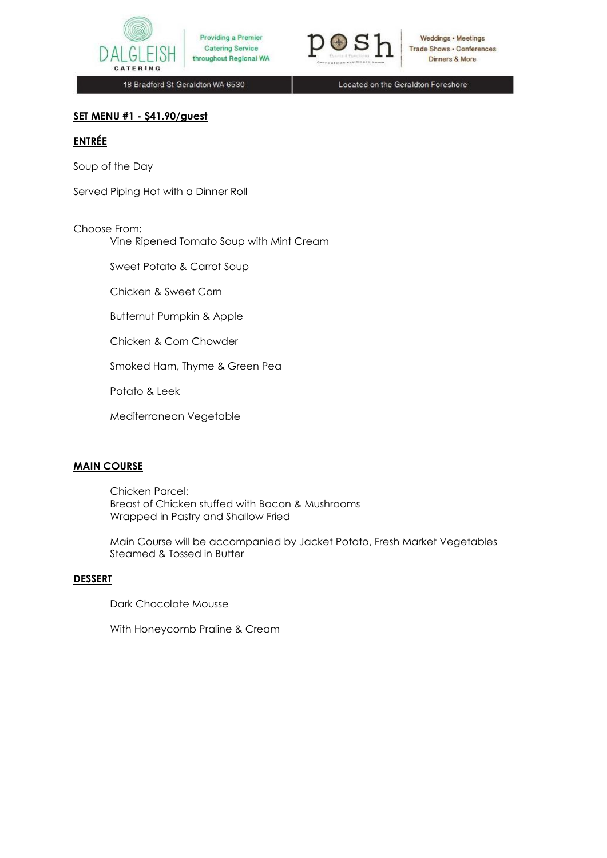



Weddings . Meetings **Trade Shows - Conferences** Dinners & More

18 Bradford St Geraldton WA 6530

Located on the Geraldton Foreshore

### **SET MENU #1 - \$41.90/guest**

# **ENTRÉE**

Soup of the Day

Served Piping Hot with a Dinner Roll

### Choose From:

Vine Ripened Tomato Soup with Mint Cream

Sweet Potato & Carrot Soup

Chicken & Sweet Corn

Butternut Pumpkin & Apple

Chicken & Corn Chowder

Smoked Ham, Thyme & Green Pea

Potato & Leek

Mediterranean Vegetable

### **MAIN COURSE**

Chicken Parcel: Breast of Chicken stuffed with Bacon & Mushrooms Wrapped in Pastry and Shallow Fried

Main Course will be accompanied by Jacket Potato, Fresh Market Vegetables Steamed & Tossed in Butter

### **DESSERT**

Dark Chocolate Mousse

With Honeycomb Praline & Cream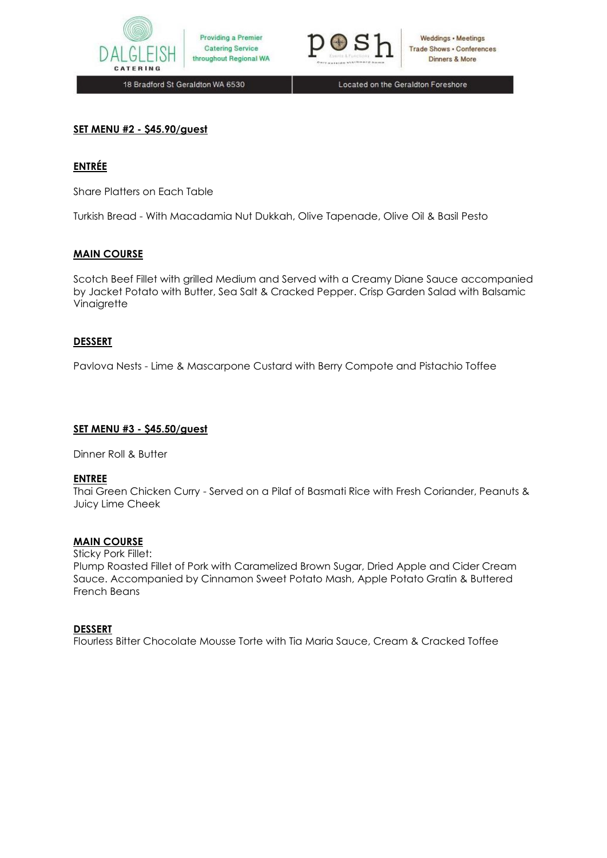



Weddings · Meetings **Trade Shows . Conferences** Dinners & More

18 Bradford St Geraldton WA 6530

Located on the Geraldton Foreshore

### **SET MENU #2 - \$45.90/guest**

### **ENTRÉE**

Share Platters on Each Table

Turkish Bread - With Macadamia Nut Dukkah, Olive Tapenade, Olive Oil & Basil Pesto

### **MAIN COURSE**

Scotch Beef Fillet with grilled Medium and Served with a Creamy Diane Sauce accompanied by Jacket Potato with Butter, Sea Salt & Cracked Pepper. Crisp Garden Salad with Balsamic Vinaigrette

### **DESSERT**

Pavlova Nests - Lime & Mascarpone Custard with Berry Compote and Pistachio Toffee

#### **SET MENU #3 - \$45.50/guest**

Dinner Roll & Butter

### **ENTREE**

Thai Green Chicken Curry - Served on a Pilaf of Basmati Rice with Fresh Coriander, Peanuts & Juicy Lime Cheek

### **MAIN COURSE**

Sticky Pork Fillet:

Plump Roasted Fillet of Pork with Caramelized Brown Sugar, Dried Apple and Cider Cream Sauce. Accompanied by Cinnamon Sweet Potato Mash, Apple Potato Gratin & Buttered French Beans

### **DESSERT**

Flourless Bitter Chocolate Mousse Torte with Tia Maria Sauce, Cream & Cracked Toffee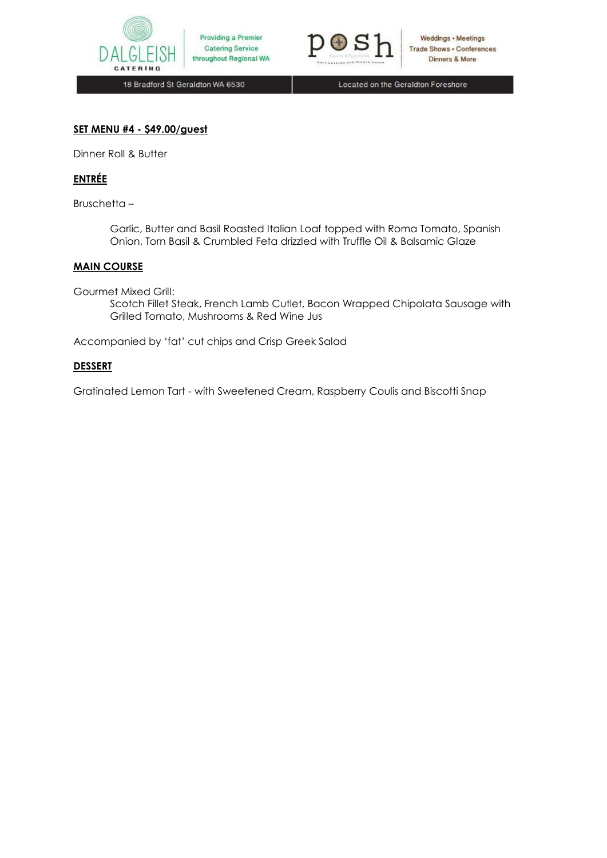



Weddings . Meetings **Trade Shows - Conferences** Dinners & More

18 Bradford St Geraldton WA 6530

Located on the Geraldton Foreshore

### **SET MENU #4 - \$49.00/guest**

Dinner Roll & Butter

## **ENTRÉE**

Bruschetta –

Garlic, Butter and Basil Roasted Italian Loaf topped with Roma Tomato, Spanish Onion, Torn Basil & Crumbled Feta drizzled with Truffle Oil & Balsamic Glaze

### **MAIN COURSE**

Gourmet Mixed Grill:

Scotch Fillet Steak, French Lamb Cutlet, Bacon Wrapped Chipolata Sausage with Grilled Tomato, Mushrooms & Red Wine Jus

Accompanied by 'fat' cut chips and Crisp Greek Salad

### **DESSERT**

Gratinated Lemon Tart - with Sweetened Cream, Raspberry Coulis and Biscotti Snap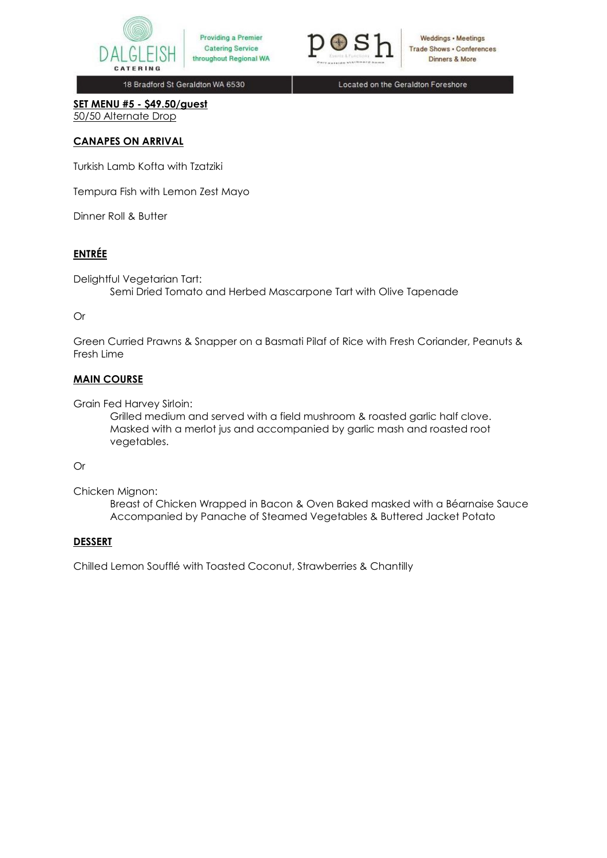



Weddings • Meetings Trade Shows . Conferences Dinners & More

18 Bradford St Geraldton WA 6530

Located on the Geraldton Foreshore

**SET MENU #5 - \$49.50/guest** 50/50 Alternate Drop

### **CANAPES ON ARRIVAL**

Turkish Lamb Kofta with Tzatziki

Tempura Fish with Lemon Zest Mayo

Dinner Roll & Butter

# **ENTRÉE**

Delightful Vegetarian Tart: Semi Dried Tomato and Herbed Mascarpone Tart with Olive Tapenade

### Or

Green Curried Prawns & Snapper on a Basmati Pilaf of Rice with Fresh Coriander, Peanuts & Fresh Lime

### **MAIN COURSE**

Grain Fed Harvey Sirloin:

Grilled medium and served with a field mushroom & roasted garlic half clove. Masked with a merlot jus and accompanied by garlic mash and roasted root vegetables.

### Or

Chicken Mignon:

Breast of Chicken Wrapped in Bacon & Oven Baked masked with a Béarnaise Sauce Accompanied by Panache of Steamed Vegetables & Buttered Jacket Potato

### **DESSERT**

Chilled Lemon Soufflé with Toasted Coconut, Strawberries & Chantilly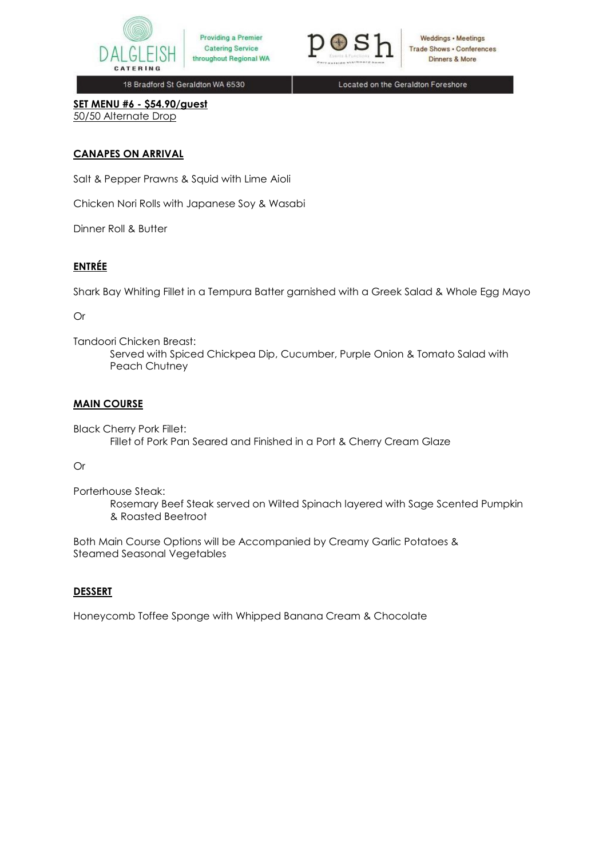



**Weddings • Meetings Trade Shows . Conferences** Dinners & More

18 Bradford St Geraldton WA 6530

Located on the Geraldton Foreshore

**SET MENU #6 - \$54.90/guest**  50/50 Alternate Drop

## **CANAPES ON ARRIVAL**

Salt & Pepper Prawns & Squid with Lime Aioli

Chicken Nori Rolls with Japanese Soy & Wasabi

Dinner Roll & Butter

# **ENTRÉE**

Shark Bay Whiting Fillet in a Tempura Batter garnished with a Greek Salad & Whole Egg Mayo

Or

Tandoori Chicken Breast:

Served with Spiced Chickpea Dip, Cucumber, Purple Onion & Tomato Salad with Peach Chutney

### **MAIN COURSE**

Black Cherry Pork Fillet: Fillet of Pork Pan Seared and Finished in a Port & Cherry Cream Glaze

### Or

Porterhouse Steak: Rosemary Beef Steak served on Wilted Spinach layered with Sage Scented Pumpkin & Roasted Beetroot

Both Main Course Options will be Accompanied by Creamy Garlic Potatoes & Steamed Seasonal Vegetables

## **DESSERT**

Honeycomb Toffee Sponge with Whipped Banana Cream & Chocolate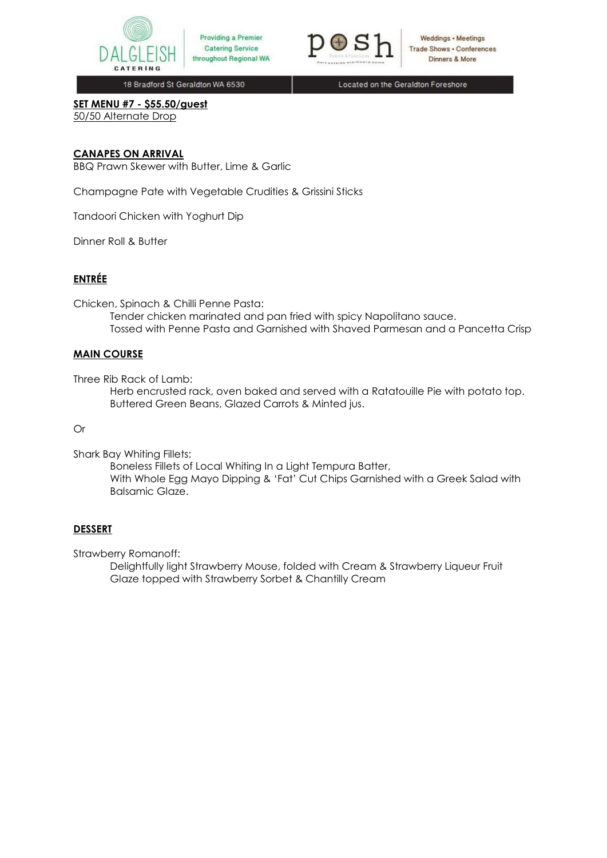



Weddings • Meetings **Trade Shows . Conferences** Dinners & More

18 Bradford St Geraldton WA 6530

Located on the Geraldton Foreshore

**SET MENU #7 - \$55.50/guest** 50/50 Alternate Drop

### **CANAPES ON ARRIVAL**

BBQ Prawn Skewer with Butter, Lime & Garlic

Champagne Pate with Vegetable Crudities & Grissini Sticks

Tandoori Chicken with Yoghurt Dip

Dinner Roll & Butter

## **ENTRÉE**

Chicken, Spinach & Chilli Penne Pasta:

Tender chicken marinated and pan fried with spicy Napolitano sauce. Tossed with Penne Pasta and Garnished with Shaved Parmesan and a Pancetta Crisp

### **MAIN COURSE**

Three Rib Rack of Lamb:

Herb encrusted rack, oven baked and served with a Ratatouille Pie with potato top. Buttered Green Beans, Glazed Carrots & Minted jus.

#### Or

Shark Bay Whiting Fillets:

Boneless Fillets of Local Whiting In a Light Tempura Batter, With Whole Egg Mayo Dipping & 'Fat' Cut Chips Garnished with a Greek Salad with Balsamic Glaze.

### **DESSERT**

Strawberry Romanoff:

Delightfully light Strawberry Mouse, folded with Cream & Strawberry Liqueur Fruit Glaze topped with Strawberry Sorbet & Chantilly Cream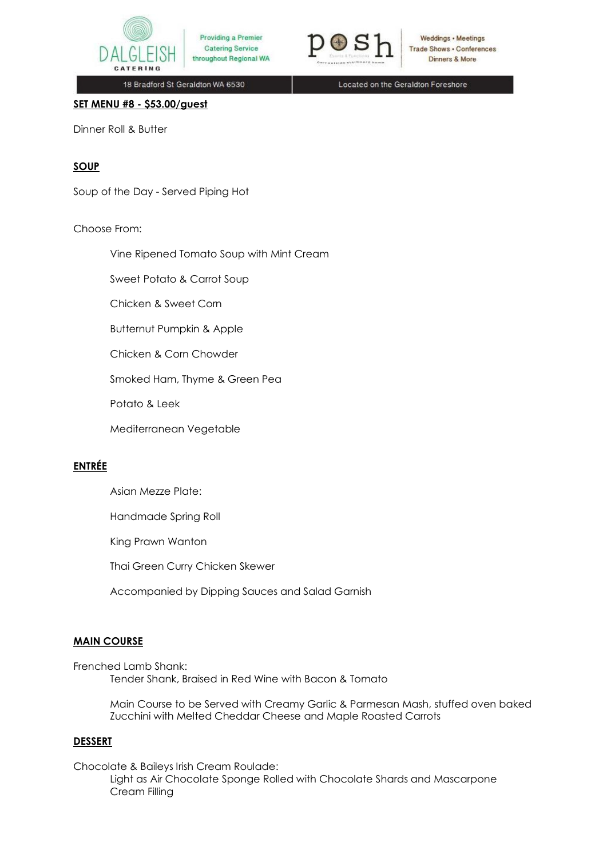



Weddings • Meetings **Trade Shows . Conferences** Dinners & More

18 Bradford St Geraldton WA 6530

Located on the Geraldton Foreshore

**SET MENU #8 - \$53.00/guest**

Dinner Roll & Butter

## **SOUP**

Soup of the Day - Served Piping Hot

### Choose From:

Vine Ripened Tomato Soup with Mint Cream

Sweet Potato & Carrot Soup

Chicken & Sweet Corn

Butternut Pumpkin & Apple

Chicken & Corn Chowder

Smoked Ham, Thyme & Green Pea

Potato & Leek

Mediterranean Vegetable

# **ENTRÉE**

Asian Mezze Plate:

Handmade Spring Roll

King Prawn Wanton

Thai Green Curry Chicken Skewer

Accompanied by Dipping Sauces and Salad Garnish

### **MAIN COURSE**

Frenched Lamb Shank: Tender Shank, Braised in Red Wine with Bacon & Tomato

> Main Course to be Served with Creamy Garlic & Parmesan Mash, stuffed oven baked Zucchini with Melted Cheddar Cheese and Maple Roasted Carrots

#### **DESSERT**

Chocolate & Baileys Irish Cream Roulade: Light as Air Chocolate Sponge Rolled with Chocolate Shards and Mascarpone Cream Filling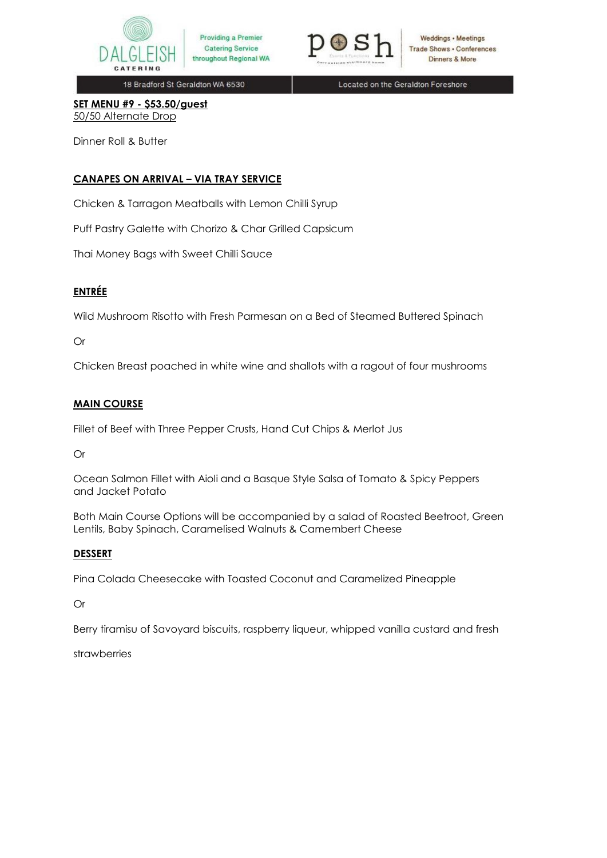



Weddings • Meetings **Trade Shows - Conferences** Dinners & More

18 Bradford St Geraldton WA 6530

Located on the Geraldton Foreshore

**SET MENU #9 - \$53.50/guest** 50/50 Alternate Drop

Dinner Roll & Butter

## **CANAPES ON ARRIVAL – VIA TRAY SERVICE**

Chicken & Tarragon Meatballs with Lemon Chilli Syrup

Puff Pastry Galette with Chorizo & Char Grilled Capsicum

Thai Money Bags with Sweet Chilli Sauce

# **ENTRÉE**

Wild Mushroom Risotto with Fresh Parmesan on a Bed of Steamed Buttered Spinach

## Or

Chicken Breast poached in white wine and shallots with a ragout of four mushrooms

### **MAIN COURSE**

Fillet of Beef with Three Pepper Crusts, Hand Cut Chips & Merlot Jus

Or

Ocean Salmon Fillet with Aioli and a Basque Style Salsa of Tomato & Spicy Peppers and Jacket Potato

Both Main Course Options will be accompanied by a salad of Roasted Beetroot, Green Lentils, Baby Spinach, Caramelised Walnuts & Camembert Cheese

## **DESSERT**

Pina Colada Cheesecake with Toasted Coconut and Caramelized Pineapple

Or

Berry tiramisu of Savoyard biscuits, raspberry liqueur, whipped vanilla custard and fresh

strawberries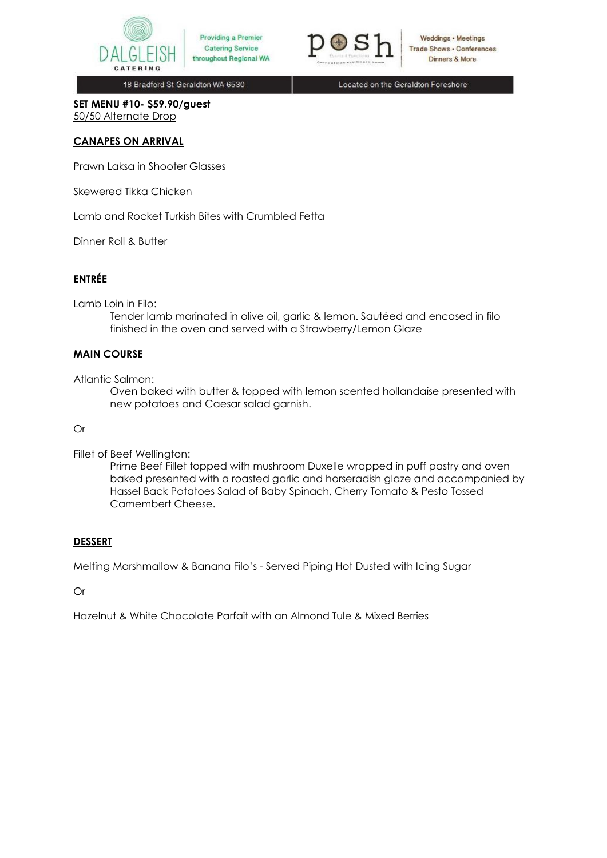



Weddings • Meetings **Trade Shows . Conferences** Dinners & More

18 Bradford St Geraldton WA 6530

Located on the Geraldton Foreshore

**SET MENU #10- \$59.90/guest** 50/50 Alternate Drop

### **CANAPES ON ARRIVAL**

Prawn Laksa in Shooter Glasses

Skewered Tikka Chicken

Lamb and Rocket Turkish Bites with Crumbled Fetta

Dinner Roll & Butter

## **ENTRÉE**

Lamb Loin in Filo:

Tender lamb marinated in olive oil, garlic & lemon. Sautéed and encased in filo finished in the oven and served with a Strawberry/Lemon Glaze

#### **MAIN COURSE**

Atlantic Salmon:

Oven baked with butter & topped with lemon scented hollandaise presented with new potatoes and Caesar salad garnish.

Or

Fillet of Beef Wellington:

Prime Beef Fillet topped with mushroom Duxelle wrapped in puff pastry and oven baked presented with a roasted garlic and horseradish glaze and accompanied by Hassel Back Potatoes Salad of Baby Spinach, Cherry Tomato & Pesto Tossed Camembert Cheese.

### **DESSERT**

Melting Marshmallow & Banana Filo's - Served Piping Hot Dusted with Icing Sugar

Or

Hazelnut & White Chocolate Parfait with an Almond Tule & Mixed Berries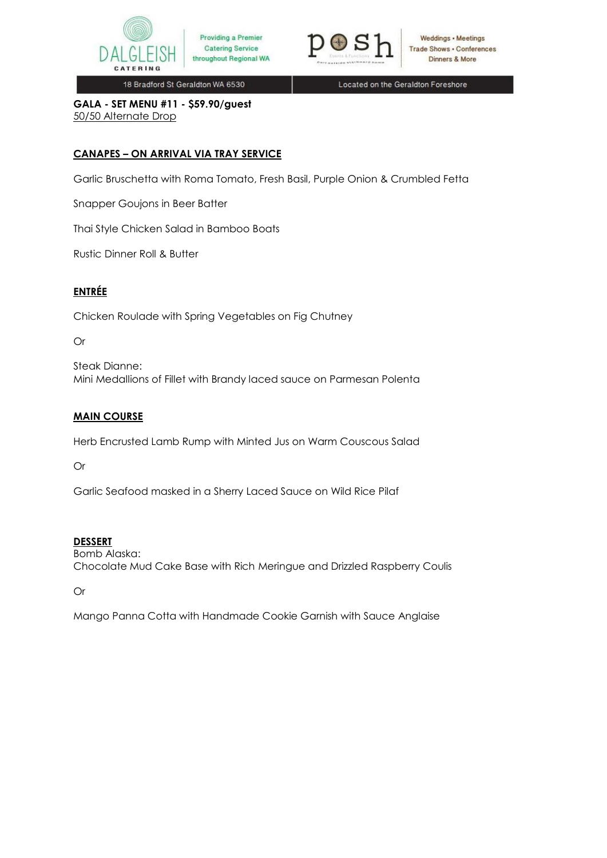



Located on the Geraldton Foreshore

**GALA - SET MENU #11 - \$59.90/guest** 50/50 Alternate Drop

# **CANAPES – ON ARRIVAL VIA TRAY SERVICE**

Garlic Bruschetta with Roma Tomato, Fresh Basil, Purple Onion & Crumbled Fetta

Snapper Goujons in Beer Batter

Thai Style Chicken Salad in Bamboo Boats

Rustic Dinner Roll & Butter

## **ENTRÉE**

Chicken Roulade with Spring Vegetables on Fig Chutney

## Or

Steak Dianne: Mini Medallions of Fillet with Brandy laced sauce on Parmesan Polenta

## **MAIN COURSE**

Herb Encrusted Lamb Rump with Minted Jus on Warm Couscous Salad

Or

Garlic Seafood masked in a Sherry Laced Sauce on Wild Rice Pilaf

## **DESSERT**

Bomb Alaska: Chocolate Mud Cake Base with Rich Meringue and Drizzled Raspberry Coulis

Or

Mango Panna Cotta with Handmade Cookie Garnish with Sauce Anglaise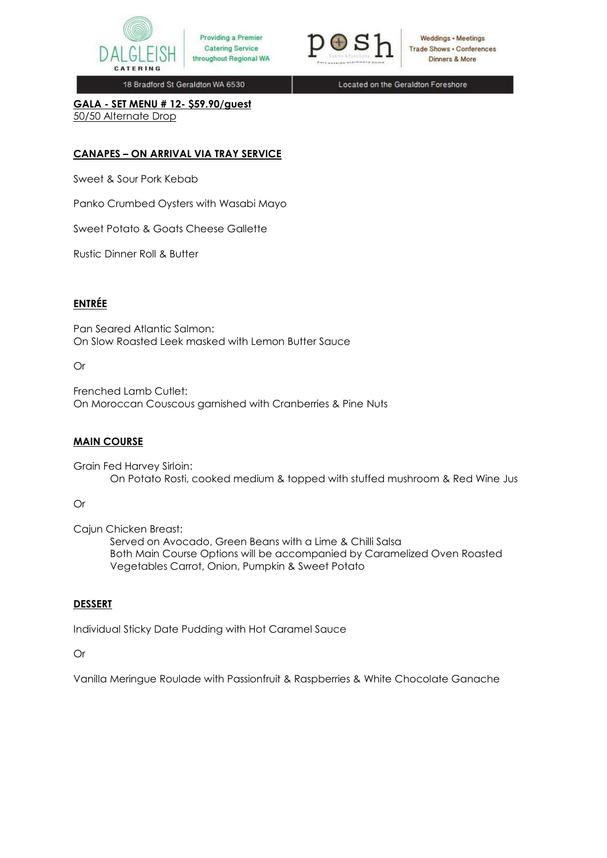



Weddings • Meetings **Trade Shows . Conferences** Dinners & More

18 Bradford St Geraldton WA 6530

Located on the Geraldton Foreshore

**GALA - SET MENU # 12- \$59.90/guest** 50/50 Alternate Drop

## **CANAPES – ON ARRIVAL VIA TRAY SERVICE**

Sweet & Sour Pork Kebab

Panko Crumbed Oysters with Wasabi Mayo

Sweet Potato & Goats Cheese Gallette

Rustic Dinner Roll & Butter

# **ENTRÉE**

Pan Seared Atlantic Salmon: On Slow Roasted Leek masked with Lemon Butter Sauce

Or

Frenched Lamb Cutlet: On Moroccan Couscous garnished with Cranberries & Pine Nuts

### **MAIN COURSE**

Grain Fed Harvey Sirloin: On Potato Rosti, cooked medium & topped with stuffed mushroom & Red Wine Jus

## Or

Cajun Chicken Breast:

Served on Avocado, Green Beans with a Lime & Chilli Salsa Both Main Course Options will be accompanied by Caramelized Oven Roasted Vegetables Carrot, Onion, Pumpkin & Sweet Potato

## **DESSERT**

Individual Sticky Date Pudding with Hot Caramel Sauce

Or

Vanilla Meringue Roulade with Passionfruit & Raspberries & White Chocolate Ganache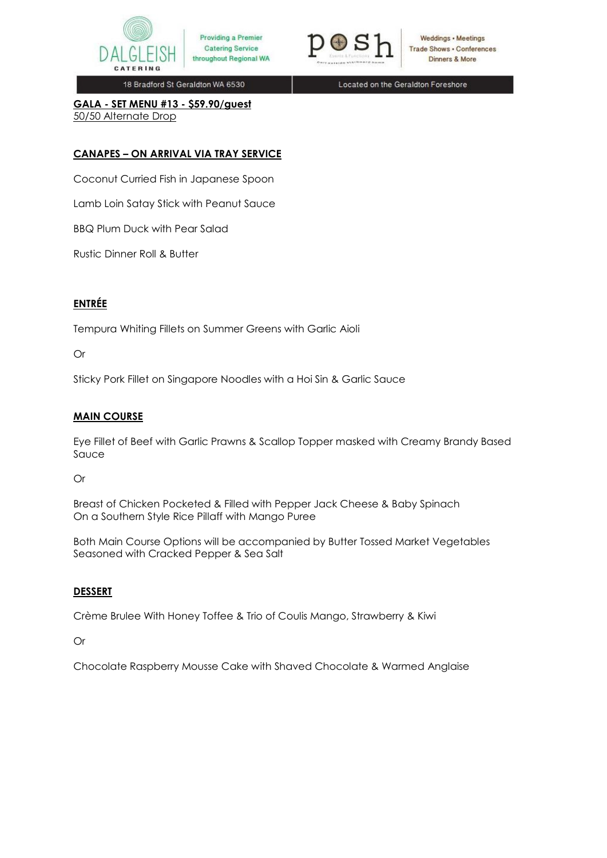



Weddings · Meetings **Trade Shows . Conferences** Dinners & More

18 Bradford St Geraldton WA 6530

Located on the Geraldton Foreshore

**GALA - SET MENU #13 - \$59.90/guest** 50/50 Alternate Drop

# **CANAPES – ON ARRIVAL VIA TRAY SERVICE**

Coconut Curried Fish in Japanese Spoon

Lamb Loin Satay Stick with Peanut Sauce

BBQ Plum Duck with Pear Salad

Rustic Dinner Roll & Butter

# **ENTRÉE**

Tempura Whiting Fillets on Summer Greens with Garlic Aioli

### Or

Sticky Pork Fillet on Singapore Noodles with a Hoi Sin & Garlic Sauce

## **MAIN COURSE**

Eye Fillet of Beef with Garlic Prawns & Scallop Topper masked with Creamy Brandy Based Sauce

Or

Breast of Chicken Pocketed & Filled with Pepper Jack Cheese & Baby Spinach On a Southern Style Rice Pillaff with Mango Puree

Both Main Course Options will be accompanied by Butter Tossed Market Vegetables Seasoned with Cracked Pepper & Sea Salt

## **DESSERT**

Crème Brulee With Honey Toffee & Trio of Coulis Mango, Strawberry & Kiwi

### Or

Chocolate Raspberry Mousse Cake with Shaved Chocolate & Warmed Anglaise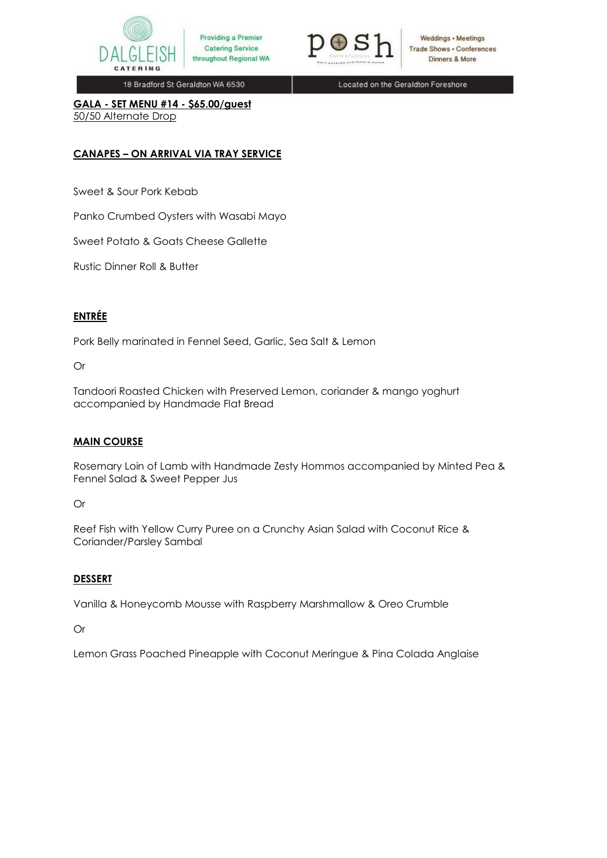



Weddings · Meetings **Trade Shows . Conferences** Dinners & More

18 Bradford St Geraldton WA 6530

Located on the Geraldton Foreshore

**GALA - SET MENU #14 - \$65.00/guest** 50/50 Alternate Drop

## **CANAPES – ON ARRIVAL VIA TRAY SERVICE**

Sweet & Sour Pork Kebab

Panko Crumbed Oysters with Wasabi Mayo

Sweet Potato & Goats Cheese Gallette

Rustic Dinner Roll & Butter

# **ENTRÉE**

Pork Belly marinated in Fennel Seed, Garlic, Sea Salt & Lemon

Or

Tandoori Roasted Chicken with Preserved Lemon, coriander & mango yoghurt accompanied by Handmade Flat Bread

### **MAIN COURSE**

Rosemary Loin of Lamb with Handmade Zesty Hommos accompanied by Minted Pea & Fennel Salad & Sweet Pepper Jus

Or

Reef Fish with Yellow Curry Puree on a Crunchy Asian Salad with Coconut Rice & Coriander/Parsley Sambal

## **DESSERT**

Vanilla & Honeycomb Mousse with Raspberry Marshmallow & Oreo Crumble

## Or

Lemon Grass Poached Pineapple with Coconut Meringue & Pina Colada Anglaise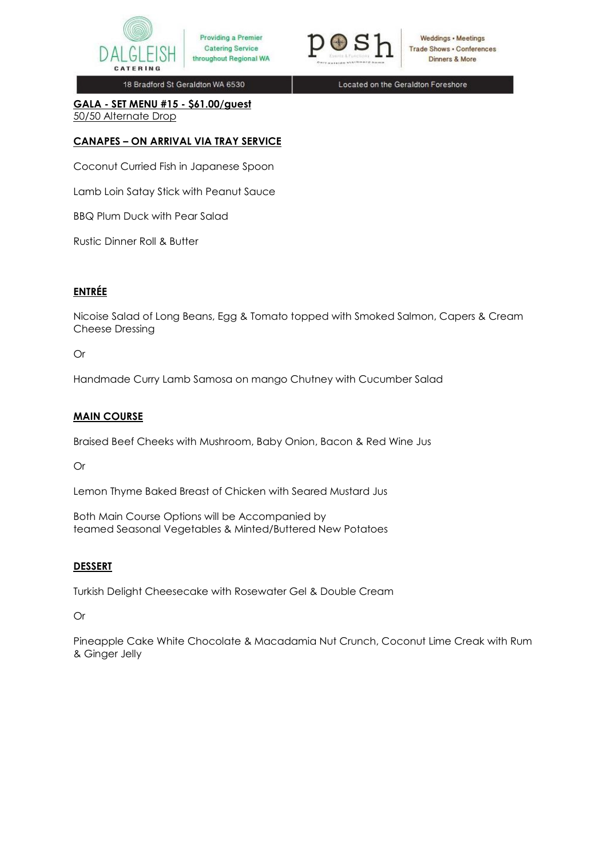



Weddings · Meetings **Trade Shows . Conferences** Dinners & More

18 Bradford St Geraldton WA 6530

Located on the Geraldton Foreshore

**GALA - SET MENU #15 - \$61.00/guest** 50/50 Alternate Drop

# **CANAPES – ON ARRIVAL VIA TRAY SERVICE**

Coconut Curried Fish in Japanese Spoon

Lamb Loin Satay Stick with Peanut Sauce

BBQ Plum Duck with Pear Salad

Rustic Dinner Roll & Butter

## **ENTRÉE**

Nicoise Salad of Long Beans, Egg & Tomato topped with Smoked Salmon, Capers & Cream Cheese Dressing

### Or

Handmade Curry Lamb Samosa on mango Chutney with Cucumber Salad

## **MAIN COURSE**

Braised Beef Cheeks with Mushroom, Baby Onion, Bacon & Red Wine Jus

Or

Lemon Thyme Baked Breast of Chicken with Seared Mustard Jus

Both Main Course Options will be Accompanied by teamed Seasonal Vegetables & Minted/Buttered New Potatoes

## **DESSERT**

Turkish Delight Cheesecake with Rosewater Gel & Double Cream

Or

Pineapple Cake White Chocolate & Macadamia Nut Crunch, Coconut Lime Creak with Rum & Ginger Jelly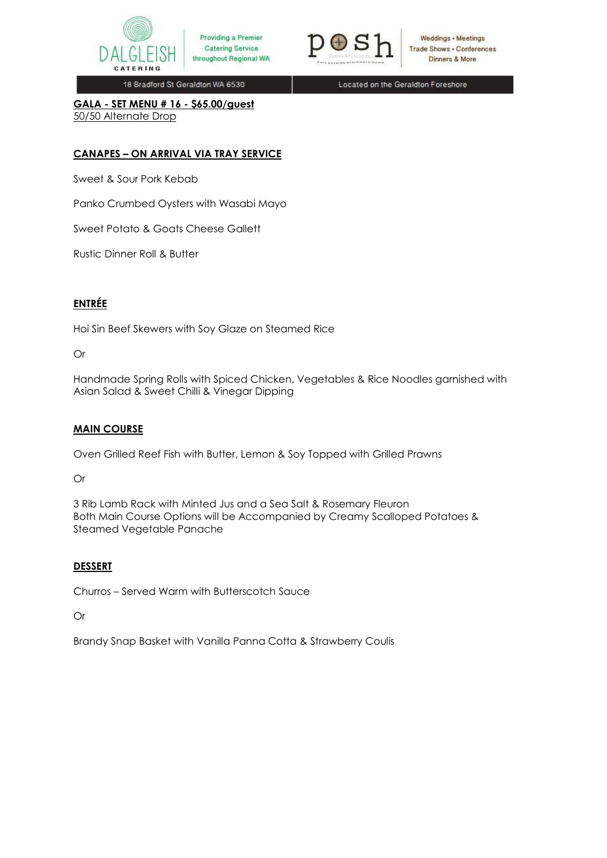



Weddings · Meetings **Trade Shows . Conferences** Dinners & More

18 Bradford St Geraldton WA 6530

Located on the Geraldton Foreshore

**GALA - SET MENU # 16 - \$65.00/guest** 50/50 Alternate Drop

## **CANAPES – ON ARRIVAL VIA TRAY SERVICE**

Sweet & Sour Pork Kebab

Panko Crumbed Oysters with Wasabi Mayo

Sweet Potato & Goats Cheese Gallett

Rustic Dinner Roll & Butter

# **ENTRÉE**

Hoi Sin Beef Skewers with Soy Glaze on Steamed Rice

### Or

Handmade Spring Rolls with Spiced Chicken, Vegetables & Rice Noodles garnished with Asian Salad & Sweet Chilli & Vinegar Dipping

## **MAIN COURSE**

Oven Grilled Reef Fish with Butter, Lemon & Soy Topped with Grilled Prawns

Or

3 Rib Lamb Rack with Minted Jus and a Sea Salt & Rosemary Fleuron Both Main Course Options will be Accompanied by Creamy Scalloped Potatoes & Steamed Vegetable Panache

## **DESSERT**

Churros – Served Warm with Butterscotch Sauce

Or

Brandy Snap Basket with Vanilla Panna Cotta & Strawberry Coulis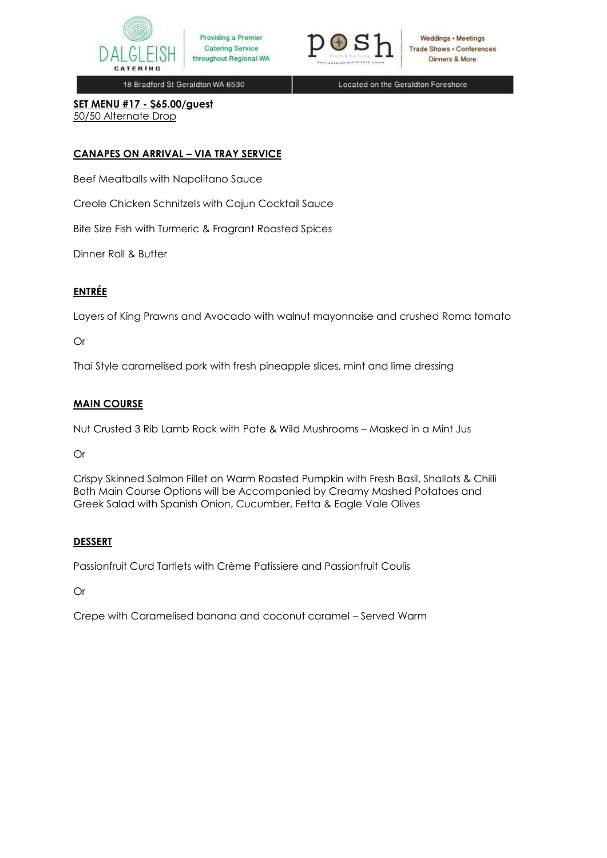



Weddings • Meetings **Trade Shows . Conferences** Dinners & More

18 Bradford St Geraldton WA 6530

Located on the Geraldton Foreshore

**SET MENU #17 - \$65.00/guest** 50/50 Alternate Drop

## **CANAPES ON ARRIVAL – VIA TRAY SERVICE**

Beef Meatballs with Napolitano Sauce

Creole Chicken Schnitzels with Cajun Cocktail Sauce

Bite Size Fish with Turmeric & Fragrant Roasted Spices

Dinner Roll & Butter

### **ENTRÉE**

Layers of King Prawns and Avocado with walnut mayonnaise and crushed Roma tomato

### Or

Thai Style caramelised pork with fresh pineapple slices, mint and lime dressing

### **MAIN COURSE**

Nut Crusted 3 Rib Lamb Rack with Pate & Wild Mushrooms – Masked in a Mint Jus

Or

Crispy Skinned Salmon Fillet on Warm Roasted Pumpkin with Fresh Basil, Shallots & Chilli Both Main Course Options will be Accompanied by Creamy Mashed Potatoes and Greek Salad with Spanish Onion, Cucumber, Fetta & Eagle Vale Olives

### **DESSERT**

Passionfruit Curd Tartlets with Crème Patissiere and Passionfruit Coulis

Or

Crepe with Caramelised banana and coconut caramel – Served Warm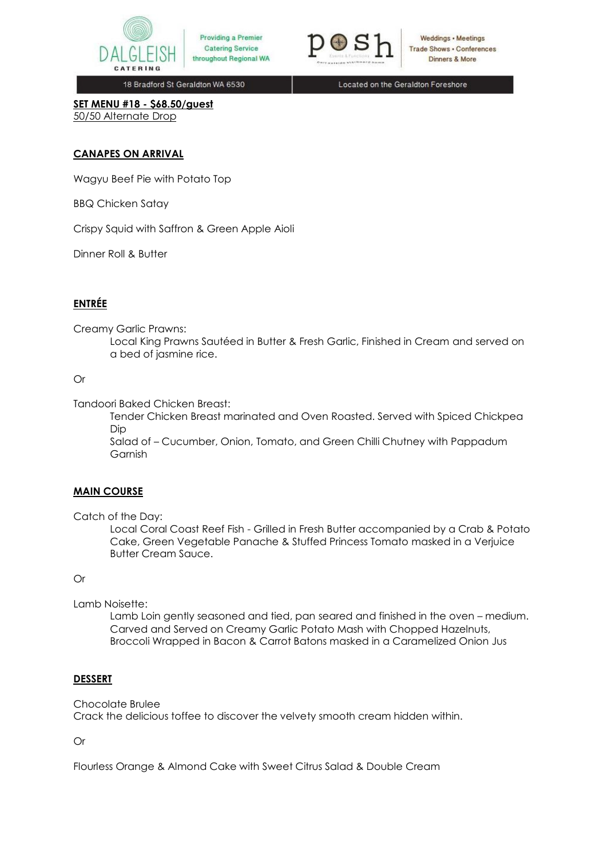



Weddings • Meetings **Trade Shows . Conferences** Dinners & More

18 Bradford St Geraldton WA 6530

Located on the Geraldton Foreshore

**SET MENU #18 - \$68.50/guest** 50/50 Alternate Drop

### **CANAPES ON ARRIVAL**

Wagyu Beef Pie with Potato Top

BBQ Chicken Satay

Crispy Squid with Saffron & Green Apple Aioli

Dinner Roll & Butter

## **ENTRÉE**

Creamy Garlic Prawns:

Local King Prawns Sautéed in Butter & Fresh Garlic, Finished in Cream and served on a bed of jasmine rice.

### Or

Tandoori Baked Chicken Breast:

Tender Chicken Breast marinated and Oven Roasted. Served with Spiced Chickpea Dip

Salad of – Cucumber, Onion, Tomato, and Green Chilli Chutney with Pappadum Garnish

### **MAIN COURSE**

Catch of the Day:

Local Coral Coast Reef Fish - Grilled in Fresh Butter accompanied by a Crab & Potato Cake, Green Vegetable Panache & Stuffed Princess Tomato masked in a Verjuice Butter Cream Sauce.

### Or

Lamb Noisette:

Lamb Loin gently seasoned and tied, pan seared and finished in the oven – medium. Carved and Served on Creamy Garlic Potato Mash with Chopped Hazelnuts, Broccoli Wrapped in Bacon & Carrot Batons masked in a Caramelized Onion Jus

### **DESSERT**

Chocolate Brulee

Crack the delicious toffee to discover the velvety smooth cream hidden within.

Or

Flourless Orange & Almond Cake with Sweet Citrus Salad & Double Cream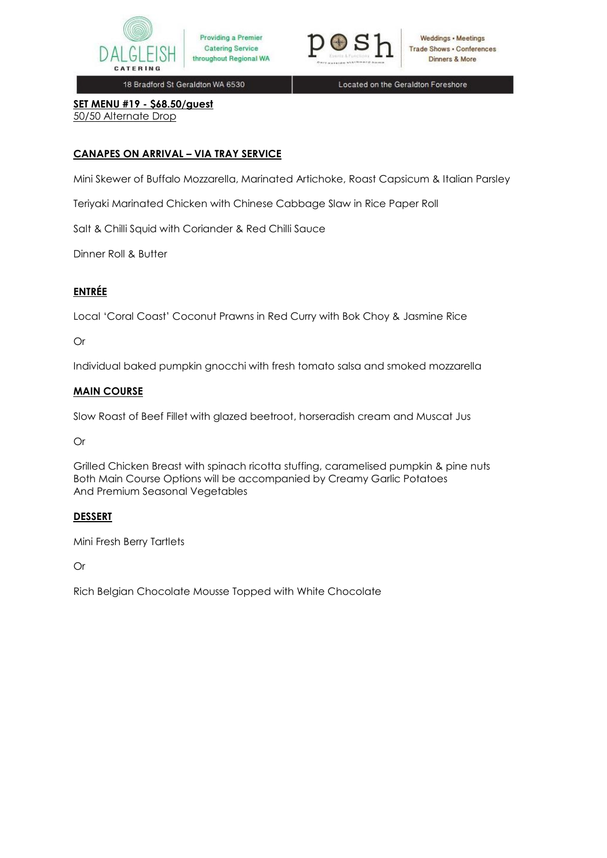



Weddings • Meetings **Trade Shows . Conferences** Dinners & More

18 Bradford St Geraldton WA 6530

Located on the Geraldton Foreshore

**SET MENU #19 - \$68.50/guest** 50/50 Alternate Drop

## **CANAPES ON ARRIVAL – VIA TRAY SERVICE**

Mini Skewer of Buffalo Mozzarella, Marinated Artichoke, Roast Capsicum & Italian Parsley

Teriyaki Marinated Chicken with Chinese Cabbage Slaw in Rice Paper Roll

Salt & Chilli Squid with Coriander & Red Chilli Sauce

Dinner Roll & Butter

# **ENTRÉE**

Local 'Coral Coast' Coconut Prawns in Red Curry with Bok Choy & Jasmine Rice

## Or

Individual baked pumpkin gnocchi with fresh tomato salsa and smoked mozzarella

### **MAIN COURSE**

Slow Roast of Beef Fillet with glazed beetroot, horseradish cream and Muscat Jus

Or

Grilled Chicken Breast with spinach ricotta stuffing, caramelised pumpkin & pine nuts Both Main Course Options will be accompanied by Creamy Garlic Potatoes And Premium Seasonal Vegetables

## **DESSERT**

Mini Fresh Berry Tartlets

Or

Rich Belgian Chocolate Mousse Topped with White Chocolate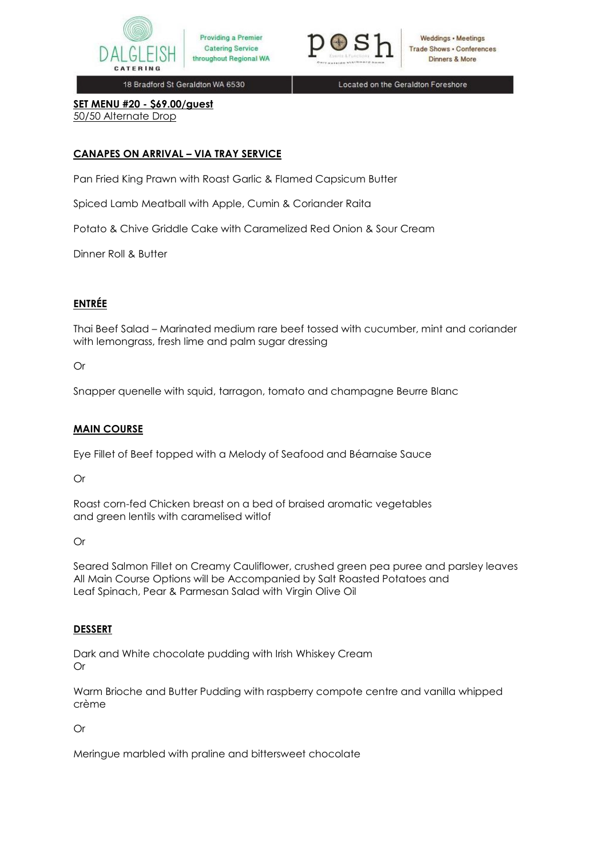



Weddings • Meetings **Trade Shows - Conferences** Dinners & More

18 Bradford St Geraldton WA 6530

Located on the Geraldton Foreshore

**SET MENU #20 - \$69.00/guest** 50/50 Alternate Drop

## **CANAPES ON ARRIVAL – VIA TRAY SERVICE**

Pan Fried King Prawn with Roast Garlic & Flamed Capsicum Butter

Spiced Lamb Meatball with Apple, Cumin & Coriander Raita

Potato & Chive Griddle Cake with Caramelized Red Onion & Sour Cream

Dinner Roll & Butter

# **ENTRÉE**

Thai Beef Salad – Marinated medium rare beef tossed with cucumber, mint and coriander with lemongrass, fresh lime and palm sugar dressing

Or

Snapper quenelle with squid, tarragon, tomato and champagne Beurre Blanc

## **MAIN COURSE**

Eye Fillet of Beef topped with a Melody of Seafood and Béarnaise Sauce

Or

Roast corn-fed Chicken breast on a bed of braised aromatic vegetables and green lentils with caramelised witlof

Or

Seared Salmon Fillet on Creamy Cauliflower, crushed green pea puree and parsley leaves All Main Course Options will be Accompanied by Salt Roasted Potatoes and Leaf Spinach, Pear & Parmesan Salad with Virgin Olive Oil

## **DESSERT**

Dark and White chocolate pudding with Irish Whiskey Cream Or

Warm Brioche and Butter Pudding with raspberry compote centre and vanilla whipped crème

Or

Meringue marbled with praline and bittersweet chocolate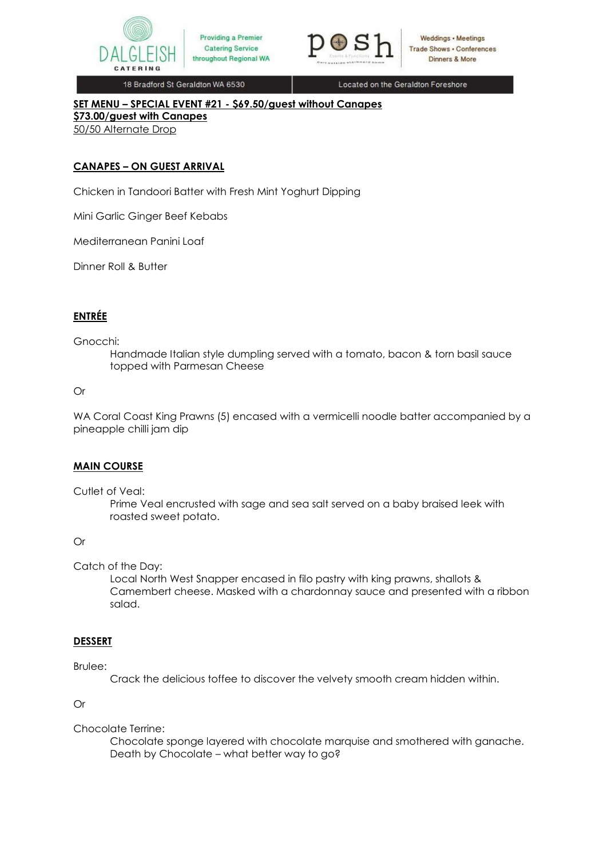



Located on the Geraldton Foreshore

# **SET MENU – SPECIAL EVENT #21 - \$69.50/guest without Canapes**

**\$73.00/guest with Canapes** 50/50 Alternate Drop

## **CANAPES – ON GUEST ARRIVAL**

Chicken in Tandoori Batter with Fresh Mint Yoghurt Dipping

Mini Garlic Ginger Beef Kebabs

Mediterranean Panini Loaf

Dinner Roll & Butter

# **ENTRÉE**

#### Gnocchi:

Handmade Italian style dumpling served with a tomato, bacon & torn basil sauce topped with Parmesan Cheese

### Or

WA Coral Coast King Prawns (5) encased with a vermicelli noodle batter accompanied by a pineapple chilli jam dip

### **MAIN COURSE**

Cutlet of Veal:

Prime Veal encrusted with sage and sea salt served on a baby braised leek with roasted sweet potato.

### Or

Catch of the Day:

Local North West Snapper encased in filo pastry with king prawns, shallots & Camembert cheese. Masked with a chardonnay sauce and presented with a ribbon salad.

### **DESSERT**

### Brulee:

Crack the delicious toffee to discover the velvety smooth cream hidden within.

### Or

### Chocolate Terrine:

Chocolate sponge layered with chocolate marquise and smothered with ganache. Death by Chocolate – what better way to go?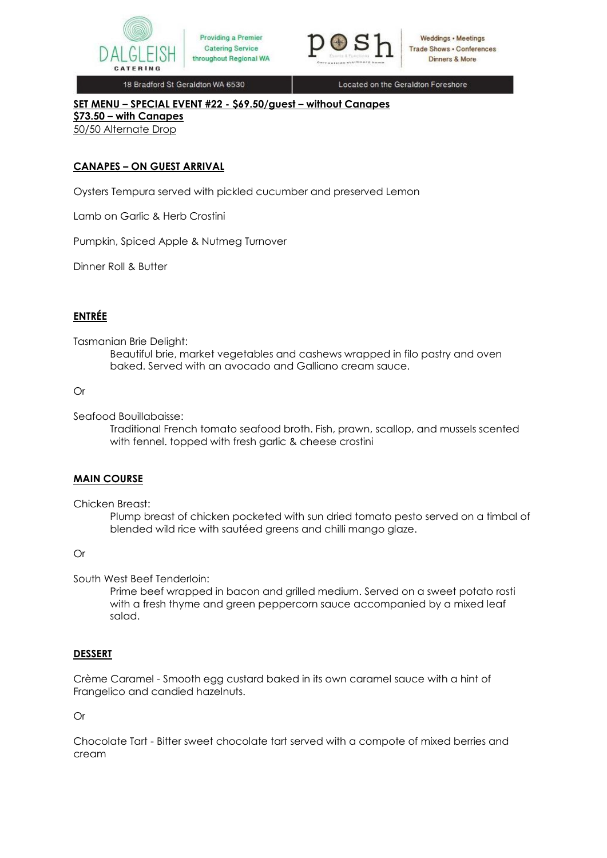



Located on the Geraldton Foreshore

### **SET MENU – SPECIAL EVENT #22 - \$69.50/guest – without Canapes**

**\$73.50 – with Canapes**

50/50 Alternate Drop

## **CANAPES – ON GUEST ARRIVAL**

Oysters Tempura served with pickled cucumber and preserved Lemon

Lamb on Garlic & Herb Crostini

Pumpkin, Spiced Apple & Nutmeg Turnover

Dinner Roll & Butter

# **ENTRÉE**

Tasmanian Brie Delight:

Beautiful brie, market vegetables and cashews wrapped in filo pastry and oven baked. Served with an avocado and Galliano cream sauce.

### Or

Seafood Bouillabaisse:

Traditional French tomato seafood broth. Fish, prawn, scallop, and mussels scented with fennel. topped with fresh garlic & cheese crostini

### **MAIN COURSE**

Chicken Breast:

Plump breast of chicken pocketed with sun dried tomato pesto served on a timbal of blended wild rice with sautéed greens and chilli mango glaze.

### Or

South West Beef Tenderloin:

Prime beef wrapped in bacon and grilled medium. Served on a sweet potato rosti with a fresh thyme and green peppercorn sauce accompanied by a mixed leaf salad.

## **DESSERT**

Crème Caramel - Smooth egg custard baked in its own caramel sauce with a hint of Frangelico and candied hazelnuts.

Or

Chocolate Tart - Bitter sweet chocolate tart served with a compote of mixed berries and cream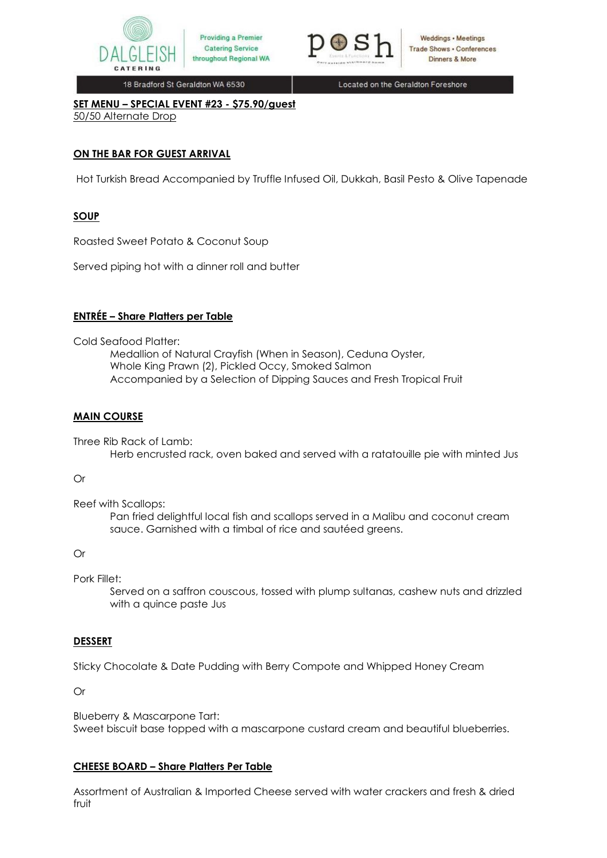



Located on the Geraldton Foreshore

**SET MENU – SPECIAL EVENT #23 - \$75.90/guest** 50/50 Alternate Drop

## **ON THE BAR FOR GUEST ARRIVAL**

Hot Turkish Bread Accompanied by Truffle Infused Oil, Dukkah, Basil Pesto & Olive Tapenade

# **SOUP**

Roasted Sweet Potato & Coconut Soup

Served piping hot with a dinner roll and butter

## **ENTRÉE – Share Platters per Table**

Cold Seafood Platter:

Medallion of Natural Crayfish (When in Season), Ceduna Oyster, Whole King Prawn (2), Pickled Occy, Smoked Salmon Accompanied by a Selection of Dipping Sauces and Fresh Tropical Fruit

## **MAIN COURSE**

Three Rib Rack of Lamb: Herb encrusted rack, oven baked and served with a ratatouille pie with minted Jus

### Or

Reef with Scallops:

Pan fried delightful local fish and scallops served in a Malibu and coconut cream sauce. Garnished with a timbal of rice and sautéed greens.

### Or

Pork Fillet:

Served on a saffron couscous, tossed with plump sultanas, cashew nuts and drizzled with a quince paste Jus

## **DESSERT**

Sticky Chocolate & Date Pudding with Berry Compote and Whipped Honey Cream

Or

Blueberry & Mascarpone Tart: Sweet biscuit base topped with a mascarpone custard cream and beautiful blueberries.

## **CHEESE BOARD – Share Platters Per Table**

Assortment of Australian & Imported Cheese served with water crackers and fresh & dried fruit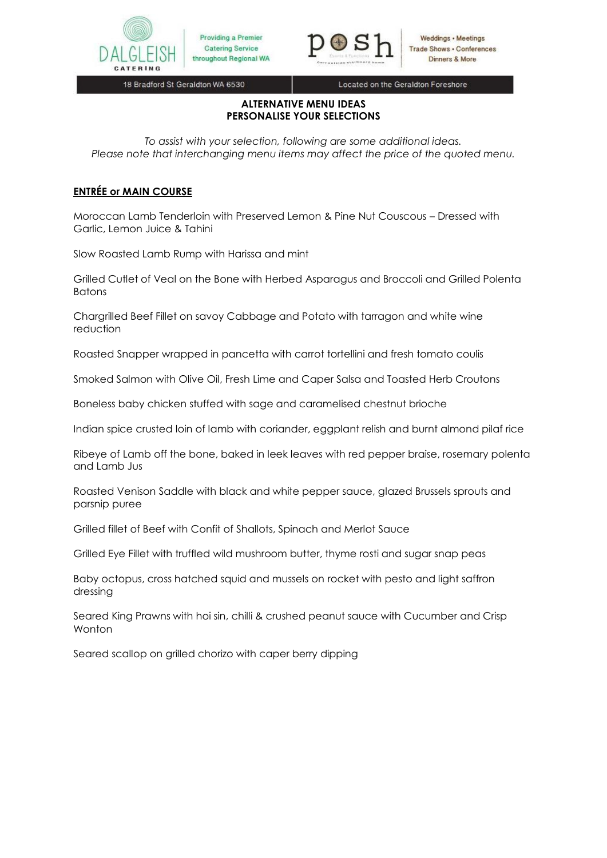



Located on the Geraldton Foreshore

### **ALTERNATIVE MENU IDEAS PERSONALISE YOUR SELECTIONS**

*To assist with your selection, following are some additional ideas. Please note that interchanging menu items may affect the price of the quoted menu.*

# **ENTRÉE or MAIN COURSE**

Moroccan Lamb Tenderloin with Preserved Lemon & Pine Nut Couscous – Dressed with Garlic, Lemon Juice & Tahini

Slow Roasted Lamb Rump with Harissa and mint

Grilled Cutlet of Veal on the Bone with Herbed Asparagus and Broccoli and Grilled Polenta Batons

Chargrilled Beef Fillet on savoy Cabbage and Potato with tarragon and white wine reduction

Roasted Snapper wrapped in pancetta with carrot tortellini and fresh tomato coulis

Smoked Salmon with Olive Oil, Fresh Lime and Caper Salsa and Toasted Herb Croutons

Boneless baby chicken stuffed with sage and caramelised chestnut brioche

Indian spice crusted loin of lamb with coriander, eggplant relish and burnt almond pilaf rice

Ribeye of Lamb off the bone, baked in leek leaves with red pepper braise, rosemary polenta and Lamb Jus

Roasted Venison Saddle with black and white pepper sauce, glazed Brussels sprouts and parsnip puree

Grilled fillet of Beef with Confit of Shallots, Spinach and Merlot Sauce

Grilled Eye Fillet with truffled wild mushroom butter, thyme rosti and sugar snap peas

Baby octopus, cross hatched squid and mussels on rocket with pesto and light saffron dressing

Seared King Prawns with hoi sin, chilli & crushed peanut sauce with Cucumber and Crisp Wonton

Seared scallop on grilled chorizo with caper berry dipping